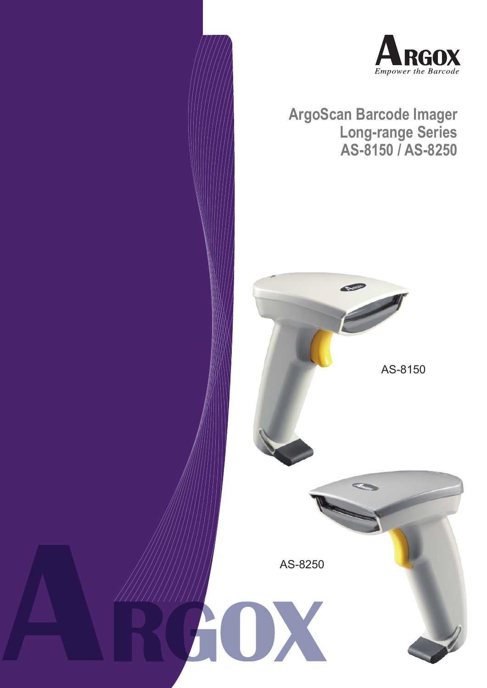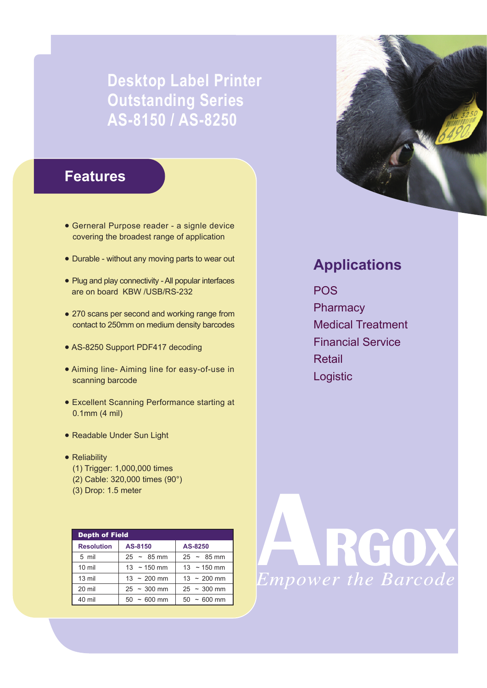# **Desktop Label Printer Outstanding Series AS-8150 / AS-8250**

### **Features**

- Gerneral Purpose reader a signle device covering the broadest range of application
- Durable without any moving parts to wear out
- Plug and play connectivity All popular interfaces are on board KBW /USB/RS-232
- 270 scans per second and working range from contact to 250mm on medium density barcodes
- AS-8250 Support PDF417 decoding
- Aiming line- Aiming line for easy-of-use in scanning barcode
- Excellent Scanning Performance starting at 0.1mm (4 mil)
- Readable Under Sun Light
- Reliability
	- (1) Trigger: 1,000,000 times
	- (2) Cable: 320,000 times (90°)
	- (3) Drop: 1.5 meter

| <b>Depth of Field</b> |                          |                          |
|-----------------------|--------------------------|--------------------------|
| <b>Resolution</b>     | AS-8150                  | AS-8250                  |
| 5 mil                 | $25 - 85$ mm             | $25 - 85$ mm             |
| $10 \text{ mil}$      | $13 \sim 150 \text{ mm}$ | $13 \sim 150 \text{ mm}$ |
| 13 mil                | $13 \sim 200$ mm         | $13 \sim 200$ mm         |
| 20 mil                | $25 \sim 300$ mm         | $25 \sim 300$ mm         |
| 40 mil                | $50 \sim 600$ mm         | $50 \sim 600$ mm         |



## **Applications**

POS **Pharmacy** Medical Treatment Financial Service Retail Logistic

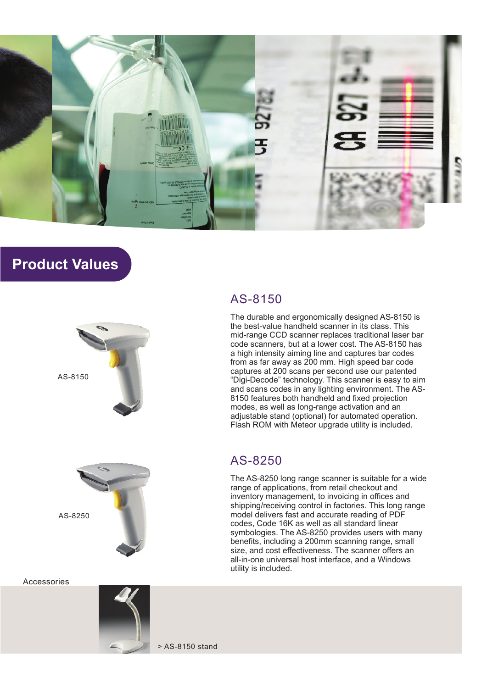

### **Product Values**





Accessories



#### AS-8150

The durable and ergonomically designed AS-8150 is the best-value handheld scanner in its class. This mid-range CCD scanner replaces traditional laser bar code scanners, but at a lower cost. The AS-8150 has a high intensity aiming line and captures bar codes from as far away as 200 mm. High speed bar code captures at 200 scans per second use our patented "Digi-Decode" technology. This scanner is easy to aim and scans codes in any lighting environment. The AS-8150 features both handheld and fixed projection modes, as well as long-range activation and an adjustable stand (optional) for automated operation. Flash ROM with Meteor upgrade utility is included.

#### AS-8250

The AS-8250 long range scanner is suitable for a wide range of applications, from retail checkout and inventory management, to invoicing in offices and shipping/receiving control in factories. This long range model delivers fast and accurate reading of PDF codes, Code 16K as well as all standard linear symbologies. The AS-8250 provides users with many benefits, including a 200mm scanning range, small size, and cost effectiveness. The scanner offers an all-in-one universal host interface, and a Windows utility is included.

> AS-8150 stand